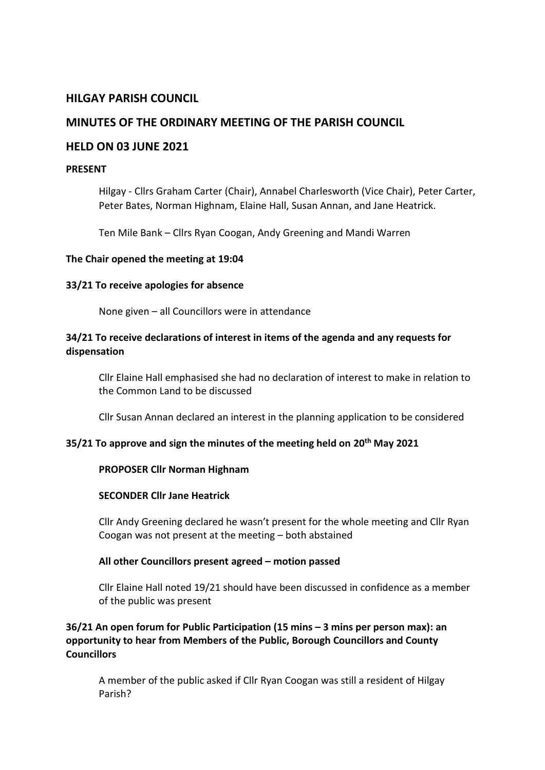# **HILGAY PARISH COUNCIL**

# **MINUTES OF THE ORDINARY MEETING OF THE PARISH COUNCIL**

## **HELD ON 03 JUNE 2021**

#### **PRESENT**

Hilgay - Cllrs Graham Carter (Chair), Annabel Charlesworth (Vice Chair), Peter Carter, Peter Bates, Norman Highnam, Elaine Hall, Susan Annan, and Jane Heatrick.

Ten Mile Bank – Cllrs Ryan Coogan, Andy Greening and Mandi Warren

#### **The Chair opened the meeting at 19:04**

#### **33/21 To receive apologies for absence**

None given – all Councillors were in attendance

## **34/21 To receive declarations of interest in items of the agenda and any requests for dispensation**

Cllr Elaine Hall emphasised she had no declaration of interest to make in relation to the Common Land to be discussed

Cllr Susan Annan declared an interest in the planning application to be considered

### **35/21 To approve and sign the minutes of the meeting held on 20th May 2021**

### **PROPOSER Cllr Norman Highnam**

#### **SECONDER Cllr Jane Heatrick**

Cllr Andy Greening declared he wasn't present for the whole meeting and Cllr Ryan Coogan was not present at the meeting – both abstained

### **All other Councillors present agreed – motion passed**

Cllr Elaine Hall noted 19/21 should have been discussed in confidence as a member of the public was present

# **36/21 An open forum for Public Participation (15 mins – 3 mins per person max): an opportunity to hear from Members of the Public, Borough Councillors and County Councillors**

A member of the public asked if Cllr Ryan Coogan was still a resident of Hilgay Parish?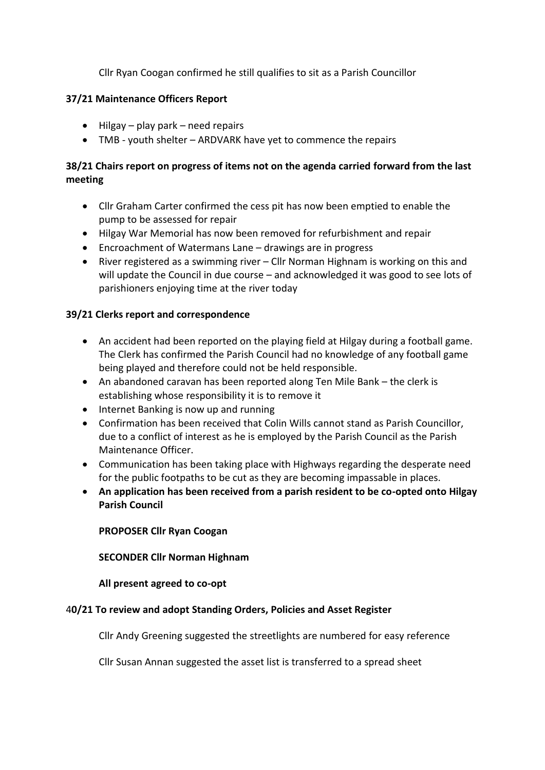Cllr Ryan Coogan confirmed he still qualifies to sit as a Parish Councillor

# **37/21 Maintenance Officers Report**

- Hilgay play park need repairs
- TMB youth shelter ARDVARK have yet to commence the repairs

# **38/21 Chairs report on progress of items not on the agenda carried forward from the last meeting**

- Cllr Graham Carter confirmed the cess pit has now been emptied to enable the pump to be assessed for repair
- Hilgay War Memorial has now been removed for refurbishment and repair
- Encroachment of Watermans Lane drawings are in progress
- River registered as a swimming river Cllr Norman Highnam is working on this and will update the Council in due course – and acknowledged it was good to see lots of parishioners enjoying time at the river today

# **39/21 Clerks report and correspondence**

- An accident had been reported on the playing field at Hilgay during a football game. The Clerk has confirmed the Parish Council had no knowledge of any football game being played and therefore could not be held responsible.
- An abandoned caravan has been reported along Ten Mile Bank the clerk is establishing whose responsibility it is to remove it
- Internet Banking is now up and running
- Confirmation has been received that Colin Wills cannot stand as Parish Councillor, due to a conflict of interest as he is employed by the Parish Council as the Parish Maintenance Officer.
- Communication has been taking place with Highways regarding the desperate need for the public footpaths to be cut as they are becoming impassable in places.
- **An application has been received from a parish resident to be co-opted onto Hilgay Parish Council**

**PROPOSER Cllr Ryan Coogan**

**SECONDER Cllr Norman Highnam**

**All present agreed to co-opt** 

### 4**0/21 To review and adopt Standing Orders, Policies and Asset Register**

Cllr Andy Greening suggested the streetlights are numbered for easy reference

Cllr Susan Annan suggested the asset list is transferred to a spread sheet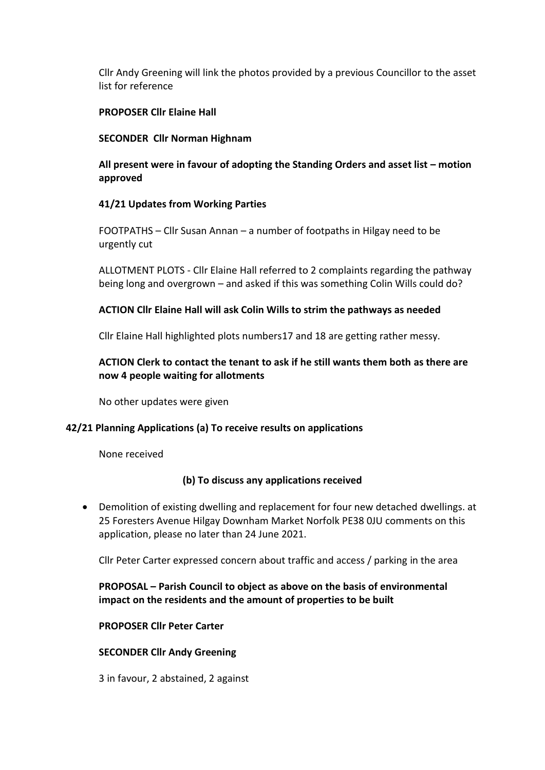Cllr Andy Greening will link the photos provided by a previous Councillor to the asset list for reference

## **PROPOSER Cllr Elaine Hall**

### **SECONDER Cllr Norman Highnam**

# All present were in favour of adopting the Standing Orders and asset list – motion **approved**

## **41/21 Updates from Working Parties**

FOOTPATHS – Cllr Susan Annan – a number of footpaths in Hilgay need to be urgently cut

ALLOTMENT PLOTS - Cllr Elaine Hall referred to 2 complaints regarding the pathway being long and overgrown – and asked if this was something Colin Wills could do?

## **ACTION Cllr Elaine Hall will ask Colin Wills to strim the pathways as needed**

Cllr Elaine Hall highlighted plots numbers17 and 18 are getting rather messy.

# **ACTION Clerk to contact the tenant to ask if he still wants them both as there are now 4 people waiting for allotments**

No other updates were given

# **42/21 Planning Applications (a) To receive results on applications**

None received

### **(b) To discuss any applications received**

• Demolition of existing dwelling and replacement for four new detached dwellings. at 25 Foresters Avenue Hilgay Downham Market Norfolk PE38 0JU comments on this application, please no later than 24 June 2021.

Cllr Peter Carter expressed concern about traffic and access / parking in the area

# **PROPOSAL – Parish Council to object as above on the basis of environmental impact on the residents and the amount of properties to be built**

### **PROPOSER Cllr Peter Carter**

### **SECONDER Cllr Andy Greening**

3 in favour, 2 abstained, 2 against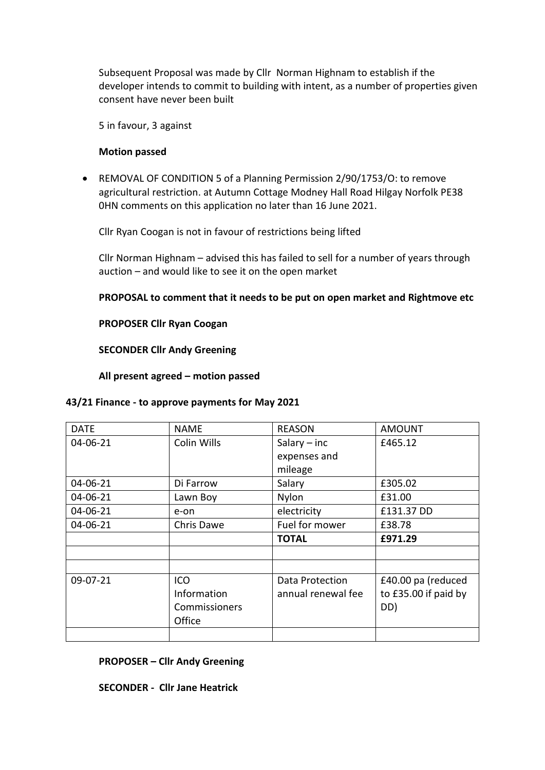Subsequent Proposal was made by Cllr Norman Highnam to establish if the developer intends to commit to building with intent, as a number of properties given consent have never been built

5 in favour, 3 against

#### **Motion passed**

• REMOVAL OF CONDITION 5 of a Planning Permission 2/90/1753/O: to remove agricultural restriction. at Autumn Cottage Modney Hall Road Hilgay Norfolk PE38 0HN comments on this application no later than 16 June 2021.

Cllr Ryan Coogan is not in favour of restrictions being lifted

Cllr Norman Highnam – advised this has failed to sell for a number of years through auction – and would like to see it on the open market

### **PROPOSAL to comment that it needs to be put on open market and Rightmove etc**

### **PROPOSER Cllr Ryan Coogan**

#### **SECONDER Cllr Andy Greening**

**All present agreed – motion passed**

#### **43/21 Finance - to approve payments for May 2021**

| <b>DATE</b> | <b>NAME</b>   | <b>REASON</b>      | <b>AMOUNT</b>        |
|-------------|---------------|--------------------|----------------------|
| 04-06-21    | Colin Wills   | Salary $-$ inc     | £465.12              |
|             |               | expenses and       |                      |
|             |               | mileage            |                      |
| 04-06-21    | Di Farrow     | Salary             | £305.02              |
| 04-06-21    | Lawn Boy      | Nylon              | £31.00               |
| 04-06-21    | e-on          | electricity        | £131.37 DD           |
| 04-06-21    | Chris Dawe    | Fuel for mower     | £38.78               |
|             |               |                    |                      |
|             |               | <b>TOTAL</b>       | £971.29              |
|             |               |                    |                      |
|             |               |                    |                      |
| 09-07-21    | ICO           | Data Protection    | £40.00 pa (reduced   |
|             | Information   | annual renewal fee | to £35.00 if paid by |
|             | Commissioners |                    | DD)                  |
|             | Office        |                    |                      |

#### **PROPOSER – Cllr Andy Greening**

**SECONDER - Cllr Jane Heatrick**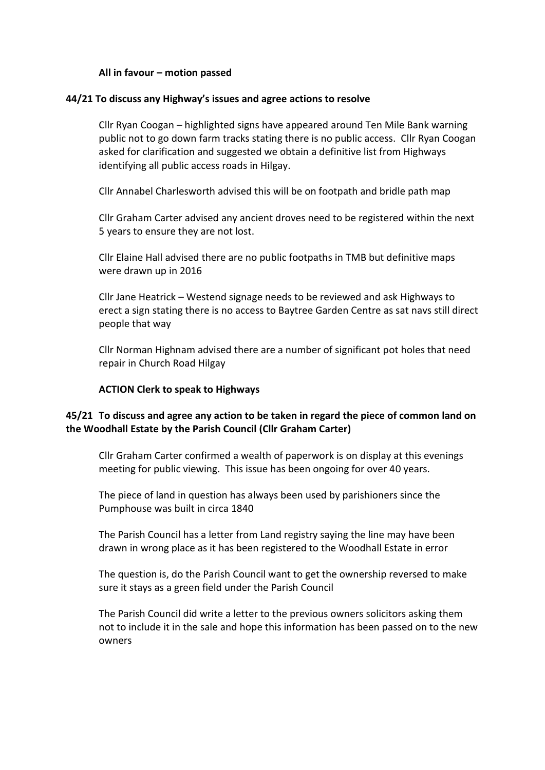### **All in favour – motion passed**

### **44/21 To discuss any Highway's issues and agree actions to resolve**

Cllr Ryan Coogan – highlighted signs have appeared around Ten Mile Bank warning public not to go down farm tracks stating there is no public access. Cllr Ryan Coogan asked for clarification and suggested we obtain a definitive list from Highways identifying all public access roads in Hilgay.

Cllr Annabel Charlesworth advised this will be on footpath and bridle path map

Cllr Graham Carter advised any ancient droves need to be registered within the next 5 years to ensure they are not lost.

Cllr Elaine Hall advised there are no public footpaths in TMB but definitive maps were drawn up in 2016

Cllr Jane Heatrick – Westend signage needs to be reviewed and ask Highways to erect a sign stating there is no access to Baytree Garden Centre as sat navs still direct people that way

Cllr Norman Highnam advised there are a number of significant pot holes that need repair in Church Road Hilgay

#### **ACTION Clerk to speak to Highways**

## **45/21 To discuss and agree any action to be taken in regard the piece of common land on the Woodhall Estate by the Parish Council (Cllr Graham Carter)**

Cllr Graham Carter confirmed a wealth of paperwork is on display at this evenings meeting for public viewing. This issue has been ongoing for over 40 years.

The piece of land in question has always been used by parishioners since the Pumphouse was built in circa 1840

The Parish Council has a letter from Land registry saying the line may have been drawn in wrong place as it has been registered to the Woodhall Estate in error

The question is, do the Parish Council want to get the ownership reversed to make sure it stays as a green field under the Parish Council

The Parish Council did write a letter to the previous owners solicitors asking them not to include it in the sale and hope this information has been passed on to the new owners